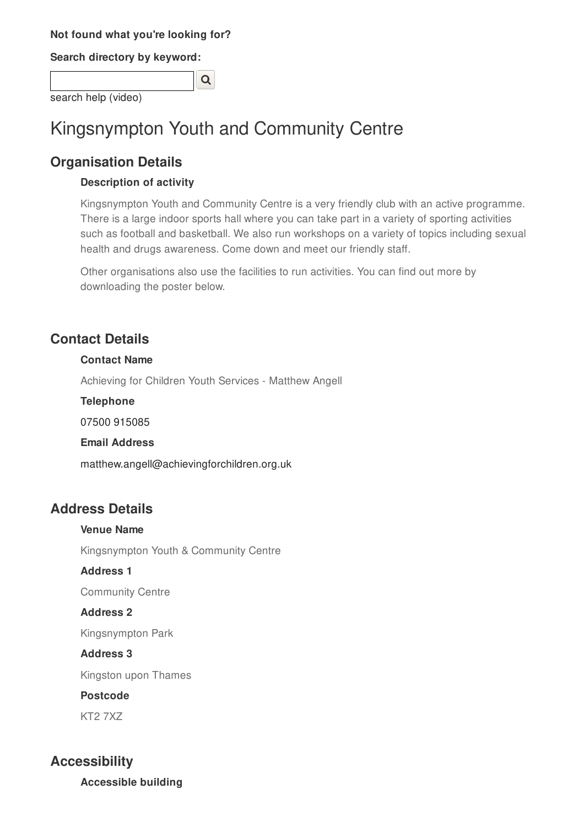### **Not found what you're looking for?**

**Search directory by keyword:**

| search help (video) |  |
|---------------------|--|

# Kingsnympton Youth and Community Centre

## **Organisation Details**

### **Description of activity**

Kingsnympton Youth and Community Centre is a very friendly club with an active programme. There is a large indoor sports hall where you can take part in a variety of sporting activities such as football and basketball. We also run workshops on a variety of topics including sexual health and drugs awareness. Come down and meet our friendly staff.

Other organisations also use the facilities to run activities. You can find out more by downloading the poster below.

## **Contact Details**

### **Contact Name**

Achieving for Children Youth Services - Matthew Angell

**Telephone**

07500 915085

### **Email Address**

matthew.angell@achievingforchildren.org.uk

## **Address Details**

Kingsnympton Youth & Community Centre

### **Address 1**

**Venue Name**

Community Centre

### **Address 2**

Kingsnympton Park

### **Address 3**

Kingston upon Thames

### **Postcode**

KT2 7XZ

## **Accessibility**

**Accessible building**